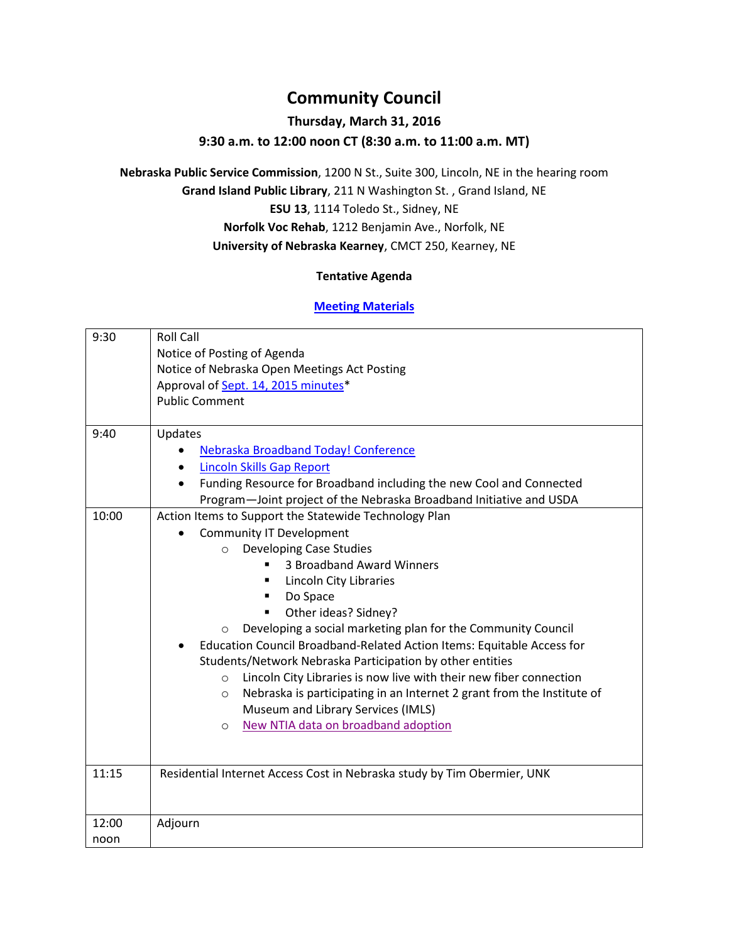# **Community Council**

## **Thursday, March 31, 2016**

### **9:30 a.m. to 12:00 noon CT (8:30 a.m. to 11:00 a.m. MT)**

**Nebraska Public Service Commission**, 1200 N St., Suite 300, Lincoln, NE in the hearing room **Grand Island Public Library**, 211 N Washington St. , Grand Island, NE **ESU 13**, 1114 Toledo St., Sidney, NE **Norfolk Voc Rehab**, 1212 Benjamin Ave., Norfolk, NE **University of Nebraska Kearney**, CMCT 250, Kearney, NE

#### **Tentative Agenda**

#### **[Meeting Materials](http://nitc.ne.gov/community_council/meetings/documents/2016Mar31/2016Mar31all.pdf)**

| 9:30  | <b>Roll Call</b>                                                                  |
|-------|-----------------------------------------------------------------------------------|
|       | Notice of Posting of Agenda                                                       |
|       | Notice of Nebraska Open Meetings Act Posting                                      |
|       | Approval of Sept. 14, 2015 minutes*                                               |
|       | <b>Public Comment</b>                                                             |
|       |                                                                                   |
| 9:40  | Updates                                                                           |
|       | Nebraska Broadband Today! Conference<br>$\bullet$                                 |
|       | <b>Lincoln Skills Gap Report</b><br>$\bullet$                                     |
|       | Funding Resource for Broadband including the new Cool and Connected<br>$\bullet$  |
|       | Program-Joint project of the Nebraska Broadband Initiative and USDA               |
| 10:00 | Action Items to Support the Statewide Technology Plan                             |
|       | <b>Community IT Development</b>                                                   |
|       | <b>Developing Case Studies</b><br>$\Omega$                                        |
|       | 3 Broadband Award Winners                                                         |
|       | Lincoln City Libraries<br>٠                                                       |
|       | Do Space<br>٠                                                                     |
|       | Other ideas? Sidney?<br>٠                                                         |
|       | Developing a social marketing plan for the Community Council<br>$\circ$           |
|       | Education Council Broadband-Related Action Items: Equitable Access for            |
|       | Students/Network Nebraska Participation by other entities                         |
|       | Lincoln City Libraries is now live with their new fiber connection<br>$\circ$     |
|       | Nebraska is participating in an Internet 2 grant from the Institute of<br>$\circ$ |
|       | Museum and Library Services (IMLS)                                                |
|       | New NTIA data on broadband adoption<br>$\circ$                                    |
|       |                                                                                   |
|       |                                                                                   |
| 11:15 | Residential Internet Access Cost in Nebraska study by Tim Obermier, UNK           |
|       |                                                                                   |
|       |                                                                                   |
| 12:00 | Adjourn                                                                           |
| noon  |                                                                                   |